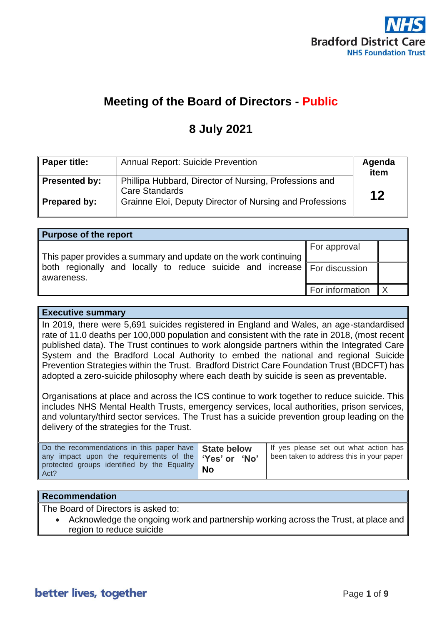

# **Meeting of the Board of Directors - Public**

# **8 July 2021**

| <b>Paper title:</b> | <b>Annual Report: Suicide Prevention</b>                                        |            |  |  |  |
|---------------------|---------------------------------------------------------------------------------|------------|--|--|--|
| Presented by:       | Phillipa Hubbard, Director of Nursing, Professions and<br><b>Care Standards</b> | item<br>12 |  |  |  |
| <b>Prepared by:</b> | Grainne Eloi, Deputy Director of Nursing and Professions                        |            |  |  |  |

| Purpose of the report                                                     |                 |  |
|---------------------------------------------------------------------------|-----------------|--|
|                                                                           | For approval    |  |
| This paper provides a summary and update on the work continuing           |                 |  |
| both regionally and locally to reduce suicide and increase For discussion |                 |  |
| awareness.                                                                |                 |  |
|                                                                           | For information |  |

#### **Executive summary**

In 2019, there were 5,691 suicides registered in England and Wales, an age-standardised rate of 11.0 deaths per 100,000 population and consistent with the rate in 2018, (most recent published data). The Trust continues to work alongside partners within the Integrated Care System and the Bradford Local Authority to embed the national and regional Suicide Prevention Strategies within the Trust. Bradford District Care Foundation Trust (BDCFT) has adopted a zero-suicide philosophy where each death by suicide is seen as preventable.

Organisations at place and across the ICS continue to work together to reduce suicide. This includes NHS Mental Health Trusts, emergency services, local authorities, prison services, and voluntary/third sector services. The Trust has a suicide prevention group leading on the delivery of the strategies for the Trust.

| Do the recommendations in this paper have State below<br>any impact upon the requirements of the 'Yes' or 'No' | If yes please set out what action has<br>been taken to address this in your paper |
|----------------------------------------------------------------------------------------------------------------|-----------------------------------------------------------------------------------|
| protected groups identified by the Equality No<br>Act?                                                         |                                                                                   |

#### **Recommendation**

The Board of Directors is asked to:

• Acknowledge the ongoing work and partnership working across the Trust, at place and region to reduce suicide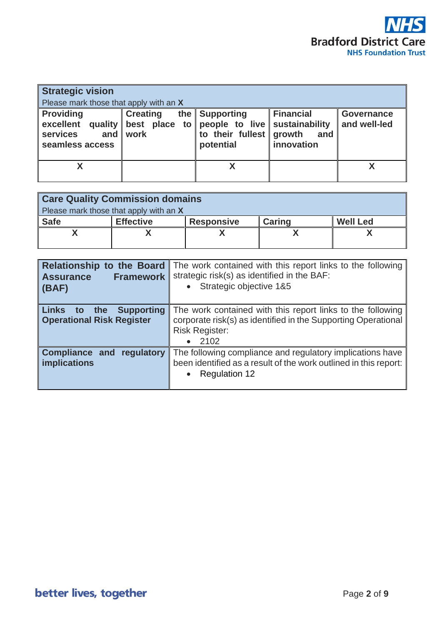

| <b>Strategic vision</b>                                                               |                                          |                                                                           |                                                                   |                            |
|---------------------------------------------------------------------------------------|------------------------------------------|---------------------------------------------------------------------------|-------------------------------------------------------------------|----------------------------|
| Please mark those that apply with an X                                                |                                          |                                                                           |                                                                   |                            |
| <b>Providing</b><br>excellent<br>quality<br><b>services</b><br>and<br>seamless access | <b>Creating</b><br>best place to<br>work | the $\vert$ Supporting<br>people to live<br>to their fullest<br>potential | <b>Financial</b><br>sustainability<br>growth<br>and<br>innovation | Governance<br>and well-led |
|                                                                                       |                                          |                                                                           |                                                                   |                            |

| <b>Care Quality Commission domains</b> |                  |                   |               |                 |  |  |  |  |  |
|----------------------------------------|------------------|-------------------|---------------|-----------------|--|--|--|--|--|
| Please mark those that apply with an X |                  |                   |               |                 |  |  |  |  |  |
| <b>Safe</b>                            | <b>Effective</b> | <b>Responsive</b> | <b>Caring</b> | <b>Well Led</b> |  |  |  |  |  |
|                                        |                  |                   |               |                 |  |  |  |  |  |

| <b>Relationship to the Board</b><br><b>Framework</b><br><b>Assurance</b><br>(BAF) | The work contained with this report links to the following<br>strategic risk(s) as identified in the BAF:<br>Strategic objective 1&5<br>$\bullet$                         |
|-----------------------------------------------------------------------------------|---------------------------------------------------------------------------------------------------------------------------------------------------------------------------|
| <b>Supporting</b><br>Links to<br>the<br><b>Operational Risk Register</b>          | The work contained with this report links to the following<br>corporate risk(s) as identified in the Supporting Operational<br><b>Risk Register:</b><br>2102<br>$\bullet$ |
| regulatory<br><b>Compliance and</b><br><b>implications</b>                        | The following compliance and regulatory implications have<br>been identified as a result of the work outlined in this report:<br><b>Regulation 12</b><br>$\bullet$        |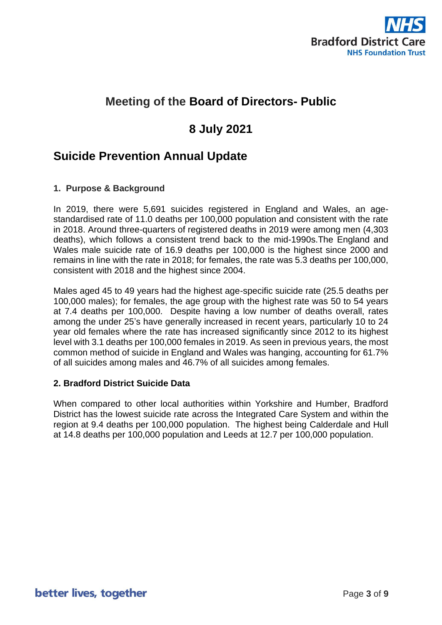

# **Meeting of the Board of Directors- Public**

# **8 July 2021**

# **Suicide Prevention Annual Update**

### **1. Purpose & Background**

In 2019, there were 5,691 suicides registered in England and Wales, an agestandardised rate of 11.0 deaths per 100,000 population and consistent with the rate in 2018. Around three-quarters of registered deaths in 2019 were among men (4,303 deaths), which follows a consistent trend back to the mid-1990s.The England and Wales male suicide rate of 16.9 deaths per 100,000 is the highest since 2000 and remains in line with the rate in 2018; for females, the rate was 5.3 deaths per 100,000, consistent with 2018 and the highest since 2004.

Males aged 45 to 49 years had the highest age-specific suicide rate (25.5 deaths per 100,000 males); for females, the age group with the highest rate was 50 to 54 years at 7.4 deaths per 100,000. Despite having a low number of deaths overall, rates among the under 25's have generally increased in recent years, particularly 10 to 24 year old females where the rate has increased significantly since 2012 to its highest level with 3.1 deaths per 100,000 females in 2019. As seen in previous years, the most common method of suicide in England and Wales was hanging, accounting for 61.7% of all suicides among males and 46.7% of all suicides among females.

### **2. Bradford District Suicide Data**

When compared to other local authorities within Yorkshire and Humber, Bradford District has the lowest suicide rate across the Integrated Care System and within the region at 9.4 deaths per 100,000 population. The highest being Calderdale and Hull at 14.8 deaths per 100,000 population and Leeds at 12.7 per 100,000 population.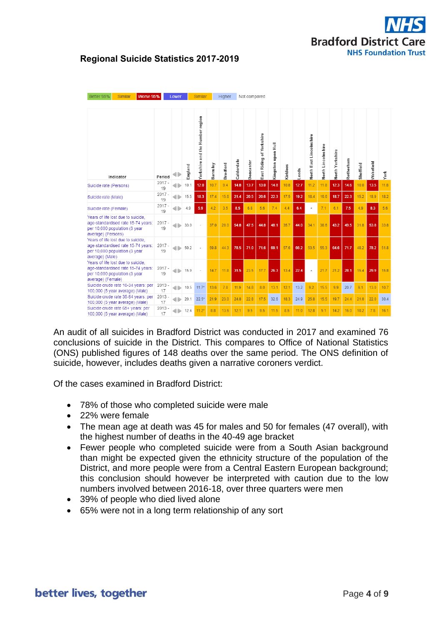

## **Regional Suicide Statistics 2017-2019**

| <b>DETTEL 30 10</b><br><u>OILLING</u><br>$\sqrt{2}$                                                                             |                | LUWCI |         | OIIIIIIQI                       |          | <b>TRATICI</b> |            | <b>TVOL COLLIDATED</b> |                          |                       |          |       |                         |                    |                 |           |           |           |      |
|---------------------------------------------------------------------------------------------------------------------------------|----------------|-------|---------|---------------------------------|----------|----------------|------------|------------------------|--------------------------|-----------------------|----------|-------|-------------------------|--------------------|-----------------|-----------|-----------|-----------|------|
| Indicator                                                                                                                       | Period         |       | England | Yorkshire and the Humber region | Barnsley | Bradford       | Calderdale | Doncaster              | East Riding of Yorkshire | upon Hull<br>Kingston | Kirklees | Leeds | North East Lincolnshire | North Lincolnshire | North Yorkshire | Rotherham | Sheffield | Wakefield | York |
| Suicide rate (Persons)                                                                                                          | $2017 -$<br>19 |       | 10.1    | 12.0                            | 10.7     | 9.4            | 14.8       | 13.7                   | 13.0                     | 14.8                  | 10.8     | 12.7  | 11.2                    | 11.8               | 12.3            | 14.6      | 10.0      | 13.5      | 11.8 |
| Suicide rate (Male)                                                                                                             | $2017 -$<br>19 |       | 15.5    | 18.3                            | 17.4     | 15.6           | 21.4       | 20.5                   | 20.6                     | 22.3                  | 17.5     | 19.2  | 18.4                    | 16.6               | 18.7            | 22.3      | 15.2      | 18.9      | 18.2 |
| Suicide rate (Female)                                                                                                           | $2017 -$<br>19 |       | 4.9     | 5.9                             | 4.2      | 3.5            | 8.5        | 6.8                    | 5.6                      | 7.4                   | 4.4      | 6.4   | $^{\star}$              | 7.1                | 6.1             | 7.5       | 4.9       | 8.3       | 5.6  |
| Years of life lost due to suicide,<br>age-standardised rate 15-74 years:<br>per 10,000 population (3 year<br>average) (Persons) | $2017 -$<br>19 | 4 D   | 33.0    | ÷,                              | 37.0     | 28.0           | 54.8       | 47.5                   | 44.8                     | 48.1                  | 35.7     | 44.0  | 34.1                    | 38.6               | 43.2            | 49.5      | 31.8      | 53.8      | 33.8 |
| Years of life lost due to suicide.<br>age-standardised rate 15-74 years:<br>per 10,000 population (3 year<br>average) (Male)    | $2017 -$<br>19 | Þ     | 50.2    | ä,                              | 59.8     | 44.3           | 78.5       | 71.0                   | 71.6                     | 69.1                  | 57.6     | 66.2  | 53.5                    | 55.3               | 64.6            | 71.7      | 48.2      | 78.2      | 51.8 |
| Years of life lost due to suicide.<br>age-standardised rate 15-74 years:<br>per 10,000 population (3 year<br>average) (Female)  | $2017 -$<br>19 | 4 D   | 15.9    | ÷,                              | 14.7     | 11.8           | 31.5       | 23.5                   | 17.7                     | 26.3                  | 13.4     | 22.4  | $\star$                 | 21.7               | 21.2            | 28.1      | 15.4      | 29.9      | 15.8 |
| Suicide crude rate 10-34 years: per<br>100,000 (5 year average) (Male)                                                          | $2013 -$<br>17 |       | 10.5    | $11.7*$                         | 13.6     | 7.8            | 11.9       | 14.8                   | 8.0                      | 13.1                  | 12.1     | 13.2  | 9.2                     | 15.5               | 9.9             | 20.7      | 9.1       | 13.0      | 10.7 |
| Suicide crude rate 35-64 years: per<br>100,000 (5 year average) (Male)                                                          | 2013<br>17     |       | 20.1    | $22.5*$                         | 21.9     | 23.0           | 24.8       | 22.8                   | 17.5                     | 32.6                  | 18.3     | 24.9  | 25.8                    | 15.5               | 19.7            | 24.4      | 21.0      | 22.0      | 30.4 |
| Suicide crude rate 65+ years: per<br>100,000 (5 year average) (Male)                                                            | $2013 -$<br>17 |       | 12.4    | $11.2*$                         | 8.8      | 13.6           | 12.1       | 9.5                    | 9.5                      | 11.5                  | 8.5      | 11.0  | 12.8                    | 5.1                | 14.2            | 16.0      | 10.2      | 7.8       | 16.1 |

An audit of all suicides in Bradford District was conducted in 2017 and examined 76 conclusions of suicide in the District. This compares to Office of National Statistics (ONS) published figures of 148 deaths over the same period. The ONS definition of suicide, however, includes deaths given a narrative coroners verdict.

Of the cases examined in Bradford District:

- 78% of those who completed suicide were male
- 22% were female
- The mean age at death was 45 for males and 50 for females (47 overall), with the highest number of deaths in the 40-49 age bracket
- Fewer people who completed suicide were from a South Asian background than might be expected given the ethnicity structure of the population of the District, and more people were from a Central Eastern European background; this conclusion should however be interpreted with caution due to the low numbers involved between 2016-18, over three quarters were men
- 39% of people who died lived alone
- 65% were not in a long term relationship of any sort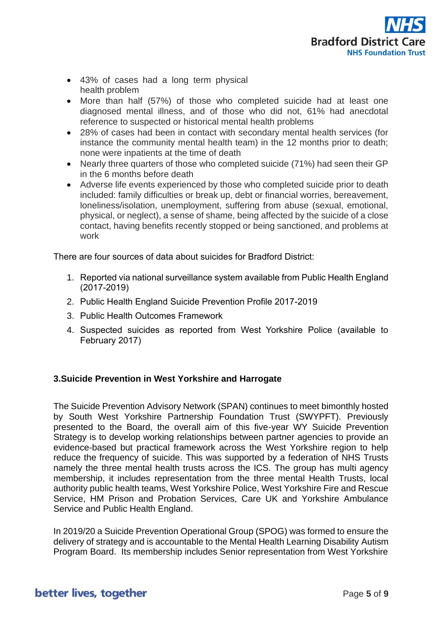

- 43% of cases had a long term physical health problem
- More than half (57%) of those who completed suicide had at least one diagnosed mental illness, and of those who did not, 61% had anecdotal reference to suspected or historical mental health problems
- 28% of cases had been in contact with secondary mental health services (for instance the community mental health team) in the 12 months prior to death; none were inpatients at the time of death
- Nearly three quarters of those who completed suicide (71%) had seen their GP in the 6 months before death
- Adverse life events experienced by those who completed suicide prior to death included: family difficulties or break up, debt or financial worries, bereavement, loneliness/isolation, unemployment, suffering from abuse (sexual, emotional, physical, or neglect), a sense of shame, being affected by the suicide of a close contact, having benefits recently stopped or being sanctioned, and problems at work

There are four sources of data about suicides for Bradford District:

- 1. Reported via national surveillance system available from Public Health England (2017-2019)
- 2. Public Health England Suicide Prevention Profile 2017-2019
- 3. Public Health Outcomes Framework
- 4. Suspected suicides as reported from West Yorkshire Police (available to February 2017)

### **3.Suicide Prevention in West Yorkshire and Harrogate**

The Suicide Prevention Advisory Network (SPAN) continues to meet bimonthly hosted by South West Yorkshire Partnership Foundation Trust (SWYPFT). Previously presented to the Board, the overall aim of this five-year WY Suicide Prevention Strategy is to develop working relationships between partner agencies to provide an evidence-based but practical framework across the West Yorkshire region to help reduce the frequency of suicide. This was supported by a federation of NHS Trusts namely the three mental health trusts across the ICS. The group has multi agency membership, it includes representation from the three mental Health Trusts, local authority public health teams, West Yorkshire Police, West Yorkshire Fire and Rescue Service, HM Prison and Probation Services, Care UK and Yorkshire Ambulance Service and Public Health England.

In 2019/20 a Suicide Prevention Operational Group (SPOG) was formed to ensure the delivery of strategy and is accountable to the Mental Health Learning Disability Autism Program Board. Its membership includes Senior representation from West Yorkshire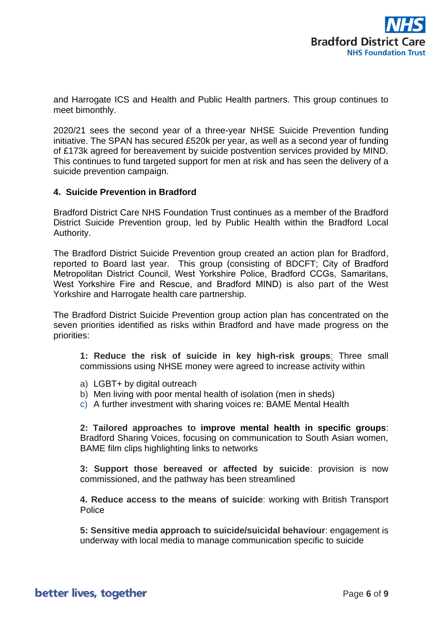

and Harrogate ICS and Health and Public Health partners. This group continues to meet bimonthly.

2020/21 sees the second year of a three-year NHSE Suicide Prevention funding initiative. The SPAN has secured £520k per year, as well as a second year of funding of £173k agreed for bereavement by suicide postvention services provided by MIND. This continues to fund targeted support for men at risk and has seen the delivery of a suicide prevention campaign.

#### **4. Suicide Prevention in Bradford**

Bradford District Care NHS Foundation Trust continues as a member of the Bradford District Suicide Prevention group, led by Public Health within the Bradford Local Authority.

The Bradford District Suicide Prevention group created an action plan for Bradford, reported to Board last year. This group (consisting of BDCFT; City of Bradford Metropolitan District Council, West Yorkshire Police, Bradford CCGs, Samaritans, West Yorkshire Fire and Rescue, and Bradford MIND) is also part of the West Yorkshire and Harrogate health care partnership.

The Bradford District Suicide Prevention group action plan has concentrated on the seven priorities identified as risks within Bradford and have made progress on the priorities:

**1: Reduce the risk of suicide in key high-risk groups**: Three small commissions using NHSE money were agreed to increase activity within

- a) LGBT+ by digital outreach
- b) Men living with poor mental health of isolation (men in sheds)
- c) A further investment with sharing voices re: BAME Mental Health

**2: Tailored approaches to improve mental health in specific groups**: Bradford Sharing Voices, focusing on communication to South Asian women, BAME film clips highlighting links to networks

**3: Support those bereaved or affected by suicide**: provision is now commissioned, and the pathway has been streamlined

**4. Reduce access to the means of suicide**: working with British Transport Police

**5: Sensitive media approach to suicide/suicidal behaviour**: engagement is underway with local media to manage communication specific to suicide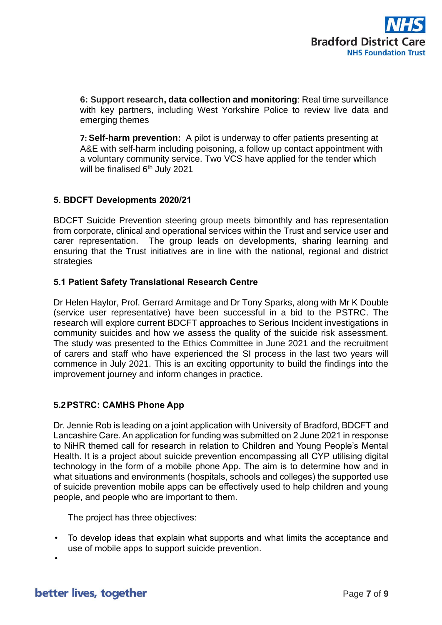

**6: Support research, data collection and monitoring**: Real time surveillance with key partners, including West Yorkshire Police to review live data and emerging themes

**7: Self-harm prevention:** A pilot is underway to offer patients presenting at A&E with self-harm including poisoning, a follow up contact appointment with a voluntary community service. Two VCS have applied for the tender which will be finalised 6<sup>th</sup> July 2021

### **5. BDCFT Developments 2020/21**

BDCFT Suicide Prevention steering group meets bimonthly and has representation from corporate, clinical and operational services within the Trust and service user and carer representation. The group leads on developments, sharing learning and ensuring that the Trust initiatives are in line with the national, regional and district strategies

### **5.1 Patient Safety Translational Research Centre**

Dr Helen Haylor, Prof. Gerrard Armitage and Dr Tony Sparks, along with Mr K Double (service user representative) have been successful in a bid to the PSTRC. The research will explore current BDCFT approaches to Serious Incident investigations in community suicides and how we assess the quality of the suicide risk assessment. The study was presented to the Ethics Committee in June 2021 and the recruitment of carers and staff who have experienced the SI process in the last two years will commence in July 2021. This is an exciting opportunity to build the findings into the improvement journey and inform changes in practice.

### **5.2PSTRC: CAMHS Phone App**

Dr. Jennie Rob is leading on a joint application with University of Bradford, BDCFT and Lancashire Care. An application for funding was submitted on 2 June 2021 in response to NiHR themed call for research in relation to Children and Young People's Mental Health. It is a project about suicide prevention encompassing all CYP utilising digital technology in the form of a mobile phone App. The aim is to determine how and in what situations and environments (hospitals, schools and colleges) the supported use of suicide prevention mobile apps can be effectively used to help children and young people, and people who are important to them.

The project has three objectives:

• To develop ideas that explain what supports and what limits the acceptance and use of mobile apps to support suicide prevention.

•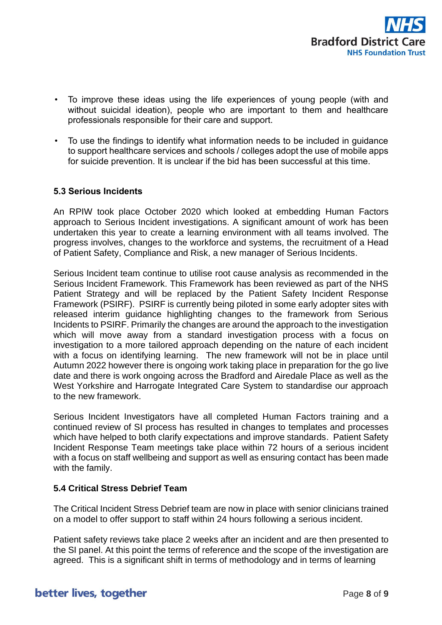

- To improve these ideas using the life experiences of young people (with and without suicidal ideation), people who are important to them and healthcare professionals responsible for their care and support.
- To use the findings to identify what information needs to be included in guidance to support healthcare services and schools / colleges adopt the use of mobile apps for suicide prevention. It is unclear if the bid has been successful at this time.

### **5.3 Serious Incidents**

An RPIW took place October 2020 which looked at embedding Human Factors approach to Serious Incident investigations. A significant amount of work has been undertaken this year to create a learning environment with all teams involved. The progress involves, changes to the workforce and systems, the recruitment of a Head of Patient Safety, Compliance and Risk, a new manager of Serious Incidents.

Serious Incident team continue to utilise root cause analysis as recommended in the Serious Incident Framework. This Framework has been reviewed as part of the NHS Patient Strategy and will be replaced by the Patient Safety Incident Response Framework (PSIRF). PSIRF is currently being piloted in some early adopter sites with released interim guidance highlighting changes to the framework from Serious Incidents to PSIRF. Primarily the changes are around the approach to the investigation which will move away from a standard investigation process with a focus on investigation to a more tailored approach depending on the nature of each incident with a focus on identifying learning. The new framework will not be in place until Autumn 2022 however there is ongoing work taking place in preparation for the go live date and there is work ongoing across the Bradford and Airedale Place as well as the West Yorkshire and Harrogate Integrated Care System to standardise our approach to the new framework.

Serious Incident Investigators have all completed Human Factors training and a continued review of SI process has resulted in changes to templates and processes which have helped to both clarify expectations and improve standards. Patient Safety Incident Response Team meetings take place within 72 hours of a serious incident with a focus on staff wellbeing and support as well as ensuring contact has been made with the family.

#### **5.4 Critical Stress Debrief Team**

The Critical Incident Stress Debrief team are now in place with senior clinicians trained on a model to offer support to staff within 24 hours following a serious incident.

Patient safety reviews take place 2 weeks after an incident and are then presented to the SI panel. At this point the terms of reference and the scope of the investigation are agreed. This is a significant shift in terms of methodology and in terms of learning